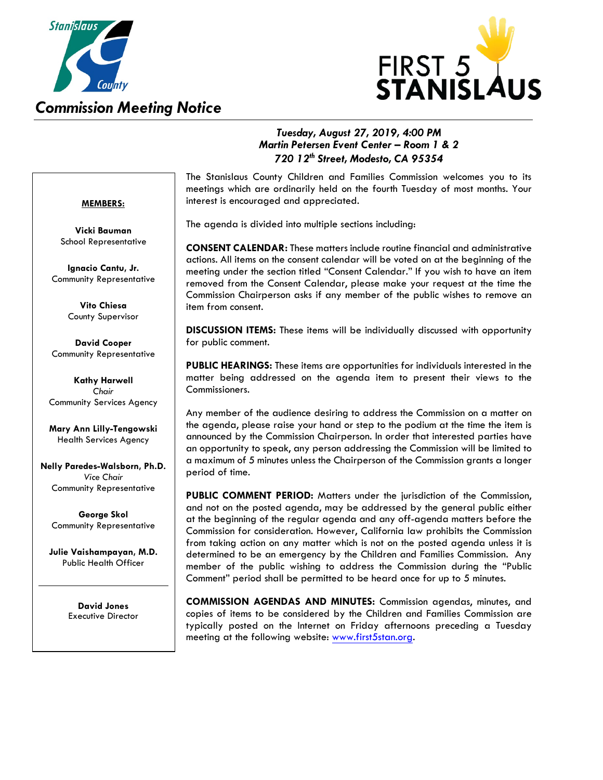

## *Commission Meeting Notice*



## *Tuesday, August 27, 2019, 4:00 PM Martin Petersen Event Center – Room 1 & 2 720 12th Street, Modesto, CA 95354*

### **MEMBERS:**

**Vicki Bauman** School Representative

**Ignacio Cantu, Jr.** Community Representative

> **Vito Chiesa** County Supervisor

**David Cooper** Community Representative

**Kathy Harwell** *Chair* Community Services Agency

**Mary Ann Lilly-Tengowski** Health Services Agency

**Nelly Paredes-Walsborn, Ph.D.** *Vice Chair* Community Representative

**George Skol** Community Representative

**Julie Vaishampayan, M.D.**  Public Health Officer

> **David Jones** Executive Director

The Stanislaus County Children and Families Commission welcomes you to its meetings which are ordinarily held on the fourth Tuesday of most months. Your interest is encouraged and appreciated.

The agenda is divided into multiple sections including:

**CONSENT CALENDAR:** These matters include routine financial and administrative actions. All items on the consent calendar will be voted on at the beginning of the meeting under the section titled "Consent Calendar." If you wish to have an item removed from the Consent Calendar, please make your request at the time the Commission Chairperson asks if any member of the public wishes to remove an item from consent.

**DISCUSSION ITEMS:** These items will be individually discussed with opportunity for public comment.

**PUBLIC HEARINGS:** These items are opportunities for individuals interested in the matter being addressed on the agenda item to present their views to the Commissioners.

Any member of the audience desiring to address the Commission on a matter on the agenda, please raise your hand or step to the podium at the time the item is announced by the Commission Chairperson. In order that interested parties have an opportunity to speak, any person addressing the Commission will be limited to a maximum of 5 minutes unless the Chairperson of the Commission grants a longer period of time.

**PUBLIC COMMENT PERIOD:** Matters under the jurisdiction of the Commission, and not on the posted agenda, may be addressed by the general public either at the beginning of the regular agenda and any off-agenda matters before the Commission for consideration. However, California law prohibits the Commission from taking action on any matter which is not on the posted agenda unless it is determined to be an emergency by the Children and Families Commission. Any member of the public wishing to address the Commission during the "Public Comment" period shall be permitted to be heard once for up to 5 minutes.

**COMMISSION AGENDAS AND MINUTES:** Commission agendas, minutes, and copies of items to be considered by the Children and Families Commission are typically posted on the Internet on Friday afternoons preceding a Tuesday meeting at the following website[: www.first5stan.org.](http://www.first5stan.org/)